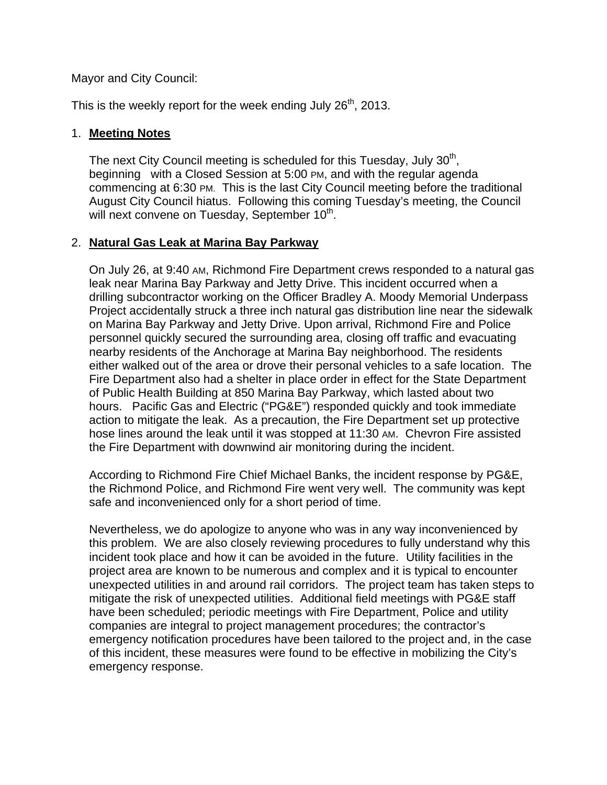Mayor and City Council:

This is the weekly report for the week ending July  $26<sup>th</sup>$ , 2013.

#### 1. **Meeting Notes**

The next City Council meeting is scheduled for this Tuesday, July 30<sup>th</sup>, beginning with a Closed Session at 5:00 PM, and with the regular agenda commencing at 6:30 PM. This is the last City Council meeting before the traditional August City Council hiatus. Following this coming Tuesday's meeting, the Council will next convene on Tuesday, September 10<sup>th</sup>.

#### 2. **Natural Gas Leak at Marina Bay Parkway**

On July 26, at 9:40 AM, Richmond Fire Department crews responded to a natural gas leak near Marina Bay Parkway and Jetty Drive. This incident occurred when a drilling subcontractor working on the Officer Bradley A. Moody Memorial Underpass Project accidentally struck a three inch natural gas distribution line near the sidewalk on Marina Bay Parkway and Jetty Drive. Upon arrival, Richmond Fire and Police personnel quickly secured the surrounding area, closing off traffic and evacuating nearby residents of the Anchorage at Marina Bay neighborhood. The residents either walked out of the area or drove their personal vehicles to a safe location. The Fire Department also had a shelter in place order in effect for the State Department of Public Health Building at 850 Marina Bay Parkway, which lasted about two hours. Pacific Gas and Electric ("PG&E") responded quickly and took immediate action to mitigate the leak. As a precaution, the Fire Department set up protective hose lines around the leak until it was stopped at 11:30 AM. Chevron Fire assisted the Fire Department with downwind air monitoring during the incident.

According to Richmond Fire Chief Michael Banks, the incident response by PG&E, the Richmond Police, and Richmond Fire went very well. The community was kept safe and inconvenienced only for a short period of time.

Nevertheless, we do apologize to anyone who was in any way inconvenienced by this problem. We are also closely reviewing procedures to fully understand why this incident took place and how it can be avoided in the future. Utility facilities in the project area are known to be numerous and complex and it is typical to encounter unexpected utilities in and around rail corridors. The project team has taken steps to mitigate the risk of unexpected utilities. Additional field meetings with PG&E staff have been scheduled; periodic meetings with Fire Department, Police and utility companies are integral to project management procedures; the contractor's emergency notification procedures have been tailored to the project and, in the case of this incident, these measures were found to be effective in mobilizing the City's emergency response.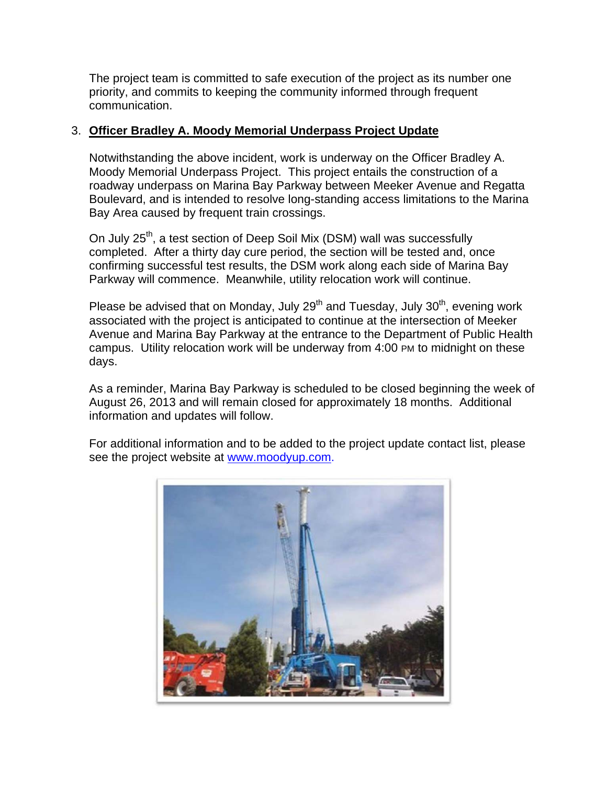The project team is committed to safe execution of the project as its number one priority, and commits to keeping the community informed through frequent communication.

#### 3. **Officer Bradley A. Moody Memorial Underpass Project Update**

Notwithstanding the above incident, work is underway on the Officer Bradley A. Moody Memorial Underpass Project. This project entails the construction of a roadway underpass on Marina Bay Parkway between Meeker Avenue and Regatta Boulevard, and is intended to resolve long-standing access limitations to the Marina Bay Area caused by frequent train crossings.

On July 25<sup>th</sup>, a test section of Deep Soil Mix (DSM) wall was successfully completed. After a thirty day cure period, the section will be tested and, once confirming successful test results, the DSM work along each side of Marina Bay Parkway will commence. Meanwhile, utility relocation work will continue.

Please be advised that on Monday, July  $29<sup>th</sup>$  and Tuesday, July  $30<sup>th</sup>$ , evening work associated with the project is anticipated to continue at the intersection of Meeker Avenue and Marina Bay Parkway at the entrance to the Department of Public Health campus. Utility relocation work will be underway from 4:00 PM to midnight on these days.

As a reminder, Marina Bay Parkway is scheduled to be closed beginning the week of August 26, 2013 and will remain closed for approximately 18 months. Additional information and updates will follow.

For additional information and to be added to the project update contact list, please see the project website at www.moodyup.com.

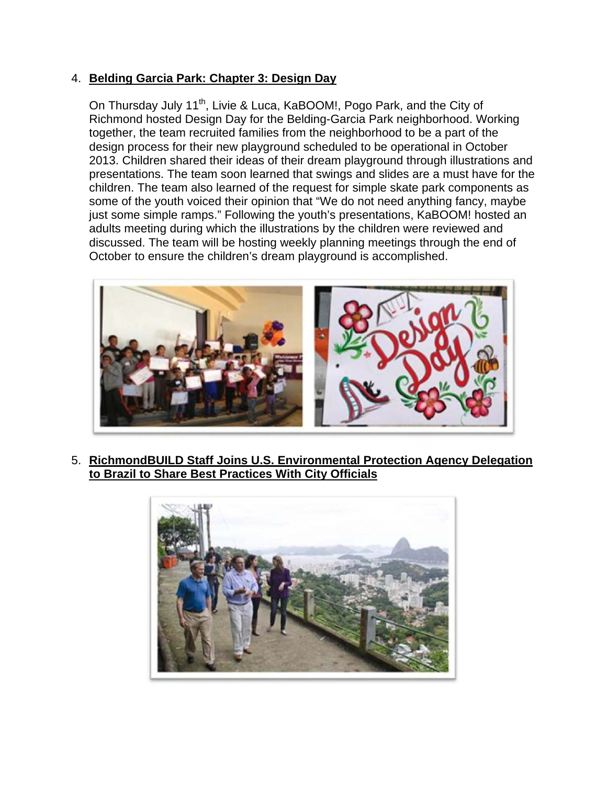### 4. **Belding Garcia Park: Chapter 3: Design Day**

On Thursday July 11<sup>th</sup>, Livie & Luca, KaBOOM!, Pogo Park, and the City of Richmond hosted Design Day for the Belding-Garcia Park neighborhood. Working together, the team recruited families from the neighborhood to be a part of the design process for their new playground scheduled to be operational in October 2013. Children shared their ideas of their dream playground through illustrations and presentations. The team soon learned that swings and slides are a must have for the children. The team also learned of the request for simple skate park components as some of the youth voiced their opinion that "We do not need anything fancy, maybe just some simple ramps." Following the youth's presentations, KaBOOM! hosted an adults meeting during which the illustrations by the children were reviewed and discussed. The team will be hosting weekly planning meetings through the end of October to ensure the children's dream playground is accomplished.



5. **RichmondBUILD Staff Joins U.S. Environmental Protection Agency Delegation to Brazil to Share Best Practices With City Officials** 

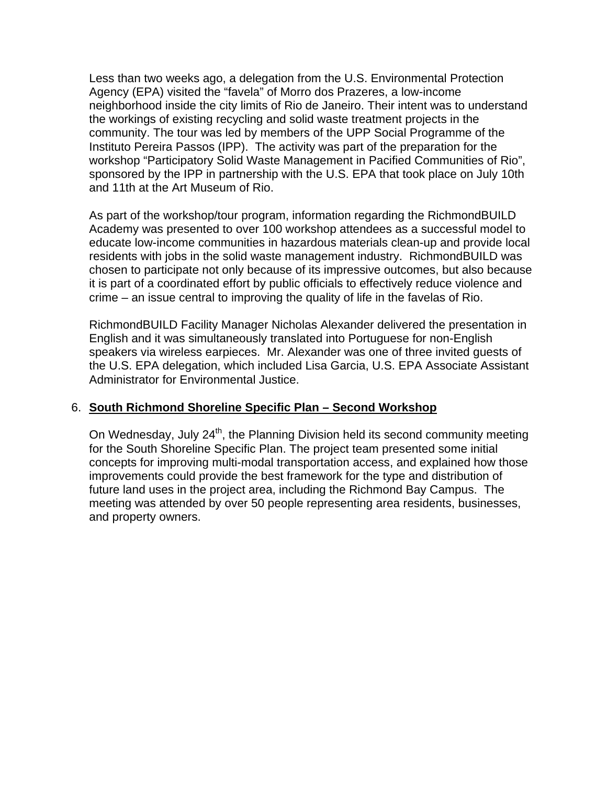Less than two weeks ago, a delegation from the U.S. Environmental Protection Agency (EPA) visited the "favela" of Morro dos Prazeres, a low-income neighborhood inside the city limits of Rio de Janeiro. Their intent was to understand the workings of existing recycling and solid waste treatment projects in the community. The tour was led by members of the UPP Social Programme of the Instituto Pereira Passos (IPP). The activity was part of the preparation for the workshop "Participatory Solid Waste Management in Pacified Communities of Rio", sponsored by the IPP in partnership with the U.S. EPA that took place on July 10th and 11th at the Art Museum of Rio.

As part of the workshop/tour program, information regarding the RichmondBUILD Academy was presented to over 100 workshop attendees as a successful model to educate low-income communities in hazardous materials clean-up and provide local residents with jobs in the solid waste management industry. RichmondBUILD was chosen to participate not only because of its impressive outcomes, but also because it is part of a coordinated effort by public officials to effectively reduce violence and crime – an issue central to improving the quality of life in the favelas of Rio.

RichmondBUILD Facility Manager Nicholas Alexander delivered the presentation in English and it was simultaneously translated into Portuguese for non-English speakers via wireless earpieces. Mr. Alexander was one of three invited guests of the U.S. EPA delegation, which included Lisa Garcia, U.S. EPA Associate Assistant Administrator for Environmental Justice.

## 6. **South Richmond Shoreline Specific Plan – Second Workshop**

On Wednesday, July  $24<sup>th</sup>$ , the Planning Division held its second community meeting for the South Shoreline Specific Plan. The project team presented some initial concepts for improving multi-modal transportation access, and explained how those improvements could provide the best framework for the type and distribution of future land uses in the project area, including the Richmond Bay Campus. The meeting was attended by over 50 people representing area residents, businesses, and property owners.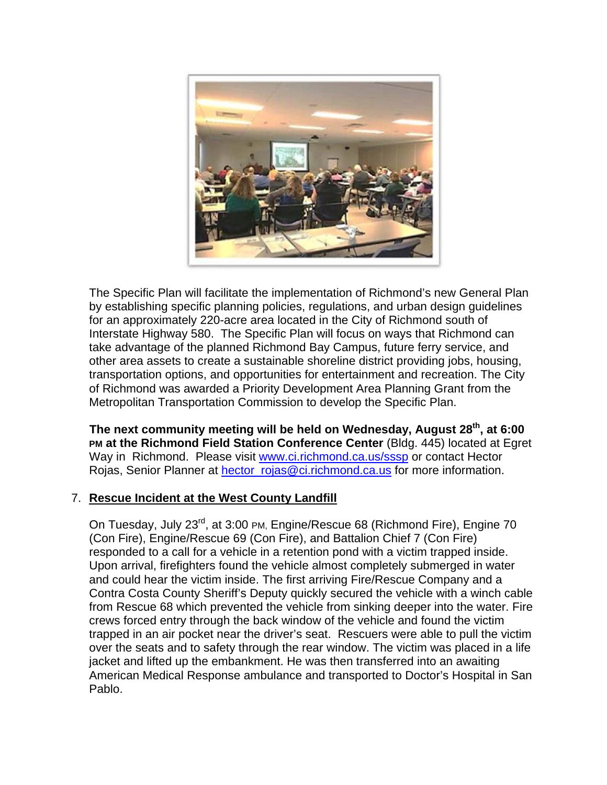

The Specific Plan will facilitate the implementation of Richmond's new General Plan by establishing specific planning policies, regulations, and urban design guidelines for an approximately 220-acre area located in the City of Richmond south of Interstate Highway 580. The Specific Plan will focus on ways that Richmond can take advantage of the planned Richmond Bay Campus, future ferry service, and other area assets to create a sustainable shoreline district providing jobs, housing, transportation options, and opportunities for entertainment and recreation. The City of Richmond was awarded a Priority Development Area Planning Grant from the Metropolitan Transportation Commission to develop the Specific Plan.

The next community meeting will be held on Wednesday, August 28<sup>th</sup>, at 6:00 **PM at the Richmond Field Station Conference Center** (Bldg. 445) located at Egret Way in Richmond. Please visit www.ci.richmond.ca.us/sssp or contact Hector Rojas, Senior Planner at **hector\_rojas@ci.richmond.ca.us for more information.** 

## 7. **Rescue Incident at the West County Landfill**

On Tuesday, July 23<sup>rd</sup>, at 3:00 PM, Engine/Rescue 68 (Richmond Fire), Engine 70 (Con Fire), Engine/Rescue 69 (Con Fire), and Battalion Chief 7 (Con Fire) responded to a call for a vehicle in a retention pond with a victim trapped inside. Upon arrival, firefighters found the vehicle almost completely submerged in water and could hear the victim inside. The first arriving Fire/Rescue Company and a Contra Costa County Sheriff's Deputy quickly secured the vehicle with a winch cable from Rescue 68 which prevented the vehicle from sinking deeper into the water. Fire crews forced entry through the back window of the vehicle and found the victim trapped in an air pocket near the driver's seat. Rescuers were able to pull the victim over the seats and to safety through the rear window. The victim was placed in a life jacket and lifted up the embankment. He was then transferred into an awaiting American Medical Response ambulance and transported to Doctor's Hospital in San Pablo.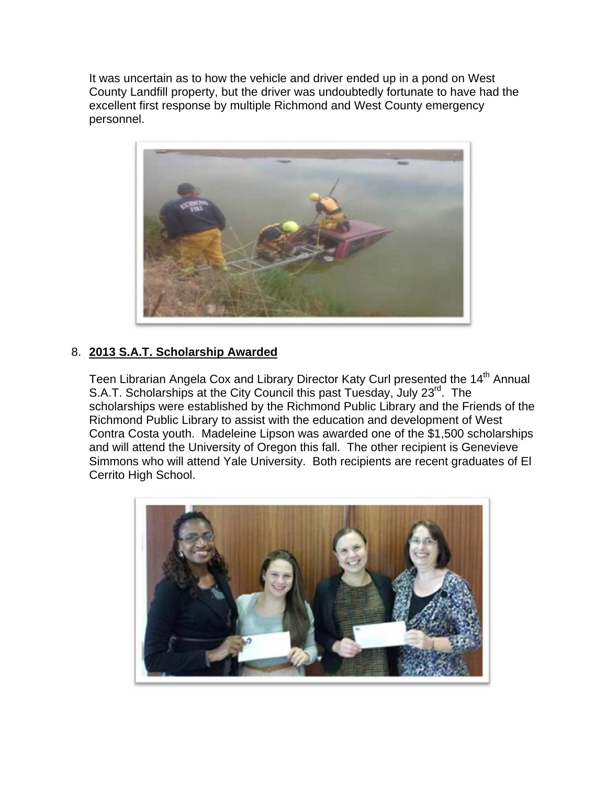It was uncertain as to how the vehicle and driver ended up in a pond on West County Landfill property, but the driver was undoubtedly fortunate to have had the excellent first response by multiple Richmond and West County emergency personnel.



## 8. **2013 S.A.T. Scholarship Awarded**

Teen Librarian Angela Cox and Library Director Katy Curl presented the 14<sup>th</sup> Annual S.A.T. Scholarships at the City Council this past Tuesday, July 23<sup>rd</sup>. The scholarships were established by the Richmond Public Library and the Friends of the Richmond Public Library to assist with the education and development of West Contra Costa youth. Madeleine Lipson was awarded one of the \$1,500 scholarships and will attend the University of Oregon this fall. The other recipient is Genevieve Simmons who will attend Yale University. Both recipients are recent graduates of El Cerrito High School.

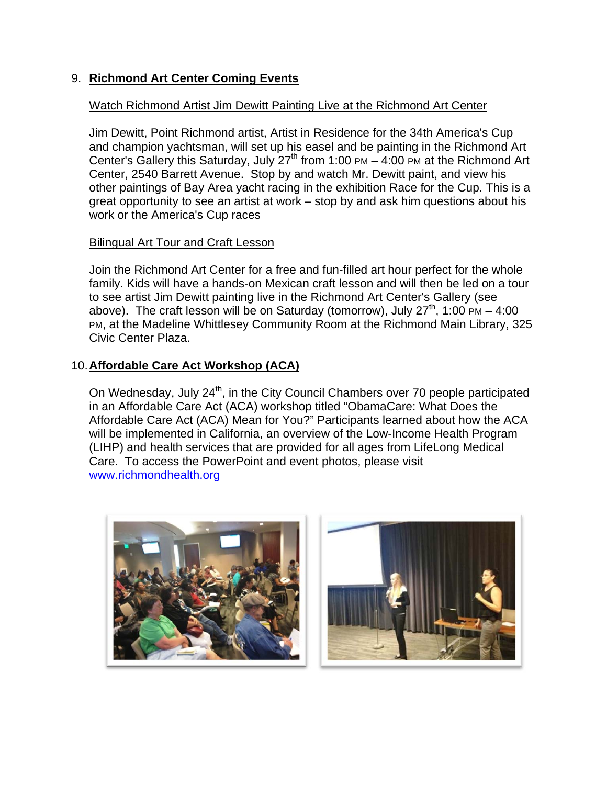## 9. **Richmond Art Center Coming Events**

#### Watch Richmond Artist Jim Dewitt Painting Live at the Richmond Art Center

Jim Dewitt, Point Richmond artist, Artist in Residence for the 34th America's Cup and champion yachtsman, will set up his easel and be painting in the Richmond Art Center's Gallery this Saturday, July  $27<sup>th</sup>$  from 1:00 PM  $-$  4:00 PM at the Richmond Art Center, 2540 Barrett Avenue. Stop by and watch Mr. Dewitt paint, and view his other paintings of Bay Area yacht racing in the exhibition Race for the Cup. This is a great opportunity to see an artist at work – stop by and ask him questions about his work or the America's Cup races

#### Bilingual Art Tour and Craft Lesson

Join the Richmond Art Center for a free and fun-filled art hour perfect for the whole family. Kids will have a hands-on Mexican craft lesson and will then be led on a tour to see artist Jim Dewitt painting live in the Richmond Art Center's Gallery (see above). The craft lesson will be on Saturday (tomorrow), July  $27<sup>th</sup>$ , 1:00 PM – 4:00 PM, at the Madeline Whittlesey Community Room at the Richmond Main Library, 325 Civic Center Plaza.

#### 10. **Affordable Care Act Workshop (ACA)**

On Wednesday, July 24<sup>th</sup>, in the City Council Chambers over 70 people participated in an Affordable Care Act (ACA) workshop titled "ObamaCare: What Does the Affordable Care Act (ACA) Mean for You?" Participants learned about how the ACA will be implemented in California, an overview of the Low-Income Health Program (LIHP) and health services that are provided for all ages from LifeLong Medical Care. To access the PowerPoint and event photos, please visit www.richmondhealth.org



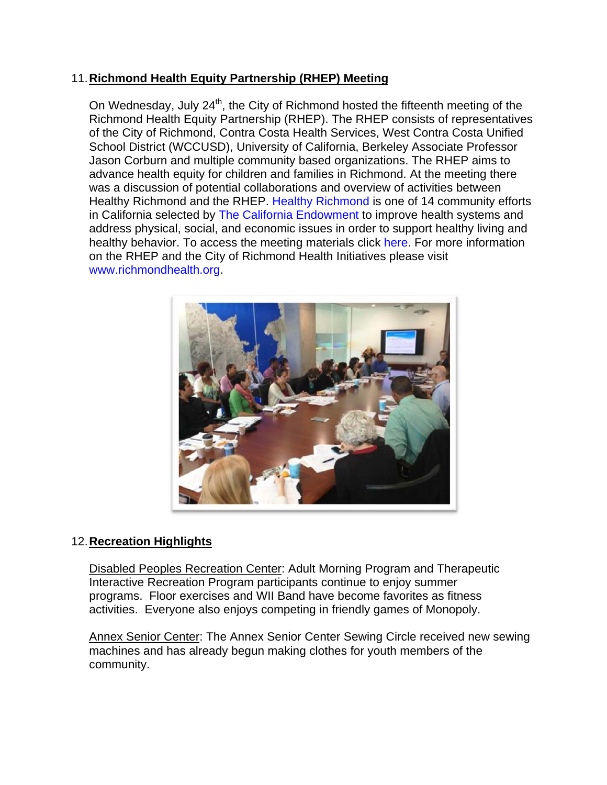## 11. **Richmond Health Equity Partnership (RHEP) Meeting**

On Wednesday, July  $24<sup>th</sup>$ , the City of Richmond hosted the fifteenth meeting of the Richmond Health Equity Partnership (RHEP). The RHEP consists of representatives of the City of Richmond, Contra Costa Health Services, West Contra Costa Unified School District (WCCUSD), University of California, Berkeley Associate Professor Jason Corburn and multiple community based organizations. The RHEP aims to advance health equity for children and families in Richmond. At the meeting there was a discussion of potential collaborations and overview of activities between Healthy Richmond and the RHEP. Healthy Richmond is one of 14 community efforts in California selected by The California Endowment to improve health systems and address physical, social, and economic issues in order to support healthy living and healthy behavior. To access the meeting materials click here. For more information on the RHEP and the City of Richmond Health Initiatives please visit www.richmondhealth.org.



## 12. **Recreation Highlights**

Disabled Peoples Recreation Center: Adult Morning Program and Therapeutic Interactive Recreation Program participants continue to enjoy summer programs. Floor exercises and WII Band have become favorites as fitness activities. Everyone also enjoys competing in friendly games of Monopoly.

Annex Senior Center: The Annex Senior Center Sewing Circle received new sewing machines and has already begun making clothes for youth members of the community.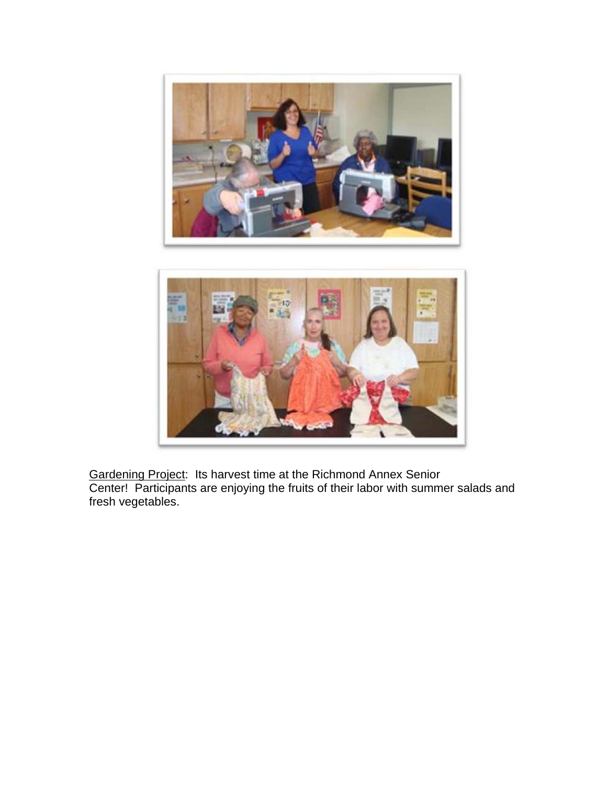



Gardening Project: Its harvest time at the Richmond Annex Senior Center! Participants are enjoying the fruits of their labor with summer salads and fresh vegetables.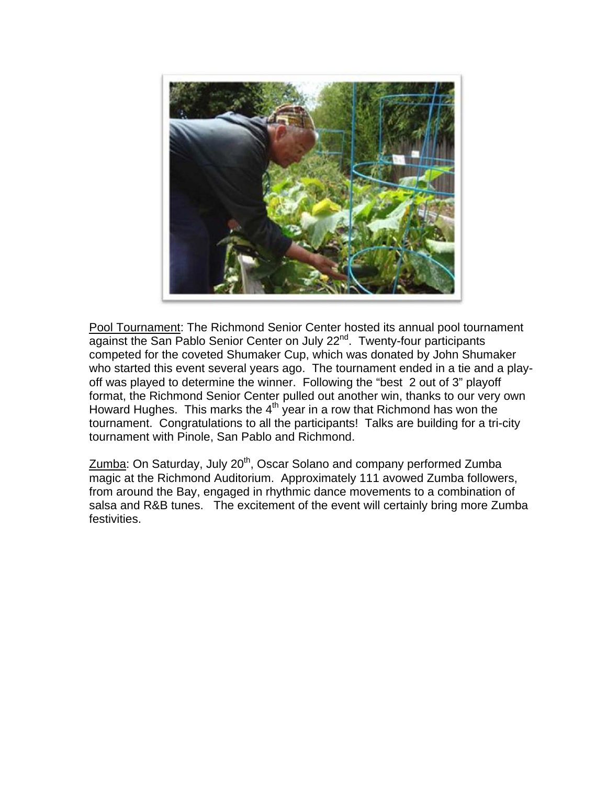

Pool Tournament: The Richmond Senior Center hosted its annual pool tournament against the San Pablo Senior Center on July 22<sup>nd</sup>. Twenty-four participants competed for the coveted Shumaker Cup, which was donated by John Shumaker who started this event several years ago. The tournament ended in a tie and a playoff was played to determine the winner. Following the "best 2 out of 3" playoff format, the Richmond Senior Center pulled out another win, thanks to our very own Howard Hughes. This marks the  $4<sup>th</sup>$  year in a row that Richmond has won the tournament. Congratulations to all the participants! Talks are building for a tri-city tournament with Pinole, San Pablo and Richmond.

Zumba: On Saturday, July 20<sup>th</sup>, Oscar Solano and company performed Zumba magic at the Richmond Auditorium. Approximately 111 avowed Zumba followers, from around the Bay, engaged in rhythmic dance movements to a combination of salsa and R&B tunes. The excitement of the event will certainly bring more Zumba festivities.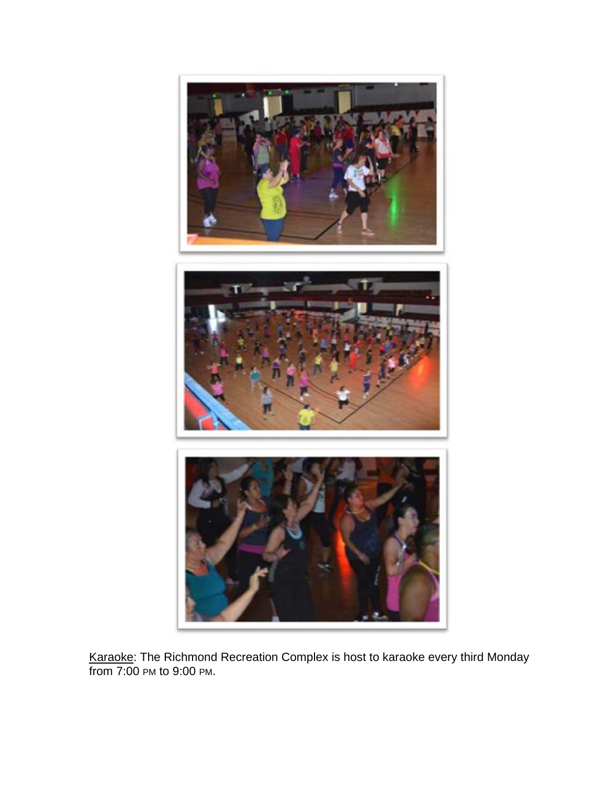

Karaoke: The Richmond Recreation Complex is host to karaoke every third Monday from 7:00 PM to 9:00 PM.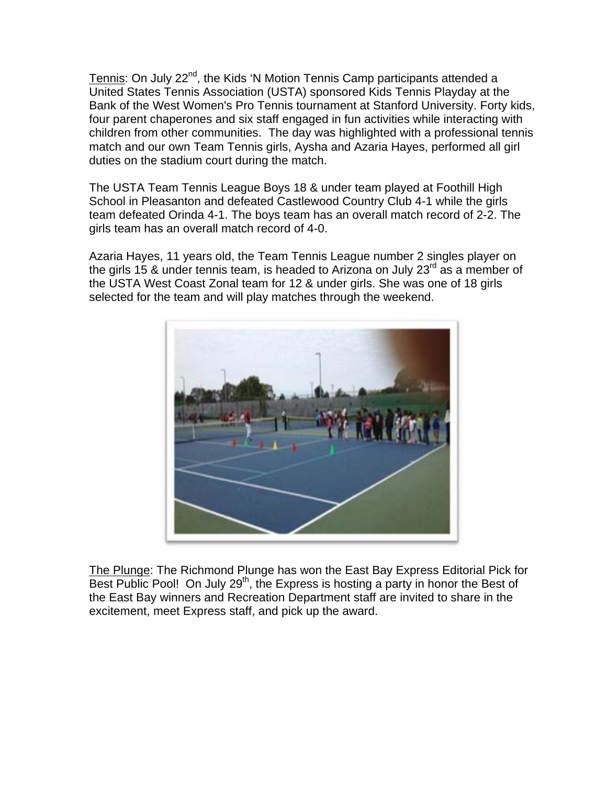Tennis: On July 22<sup>nd</sup>, the Kids 'N Motion Tennis Camp participants attended a United States Tennis Association (USTA) sponsored Kids Tennis Playday at the Bank of the West Women's Pro Tennis tournament at Stanford University. Forty kids, four parent chaperones and six staff engaged in fun activities while interacting with children from other communities. The day was highlighted with a professional tennis match and our own Team Tennis girls, Aysha and Azaria Hayes, performed all girl duties on the stadium court during the match.

The USTA Team Tennis League Boys 18 & under team played at Foothill High School in Pleasanton and defeated Castlewood Country Club 4-1 while the girls team defeated Orinda 4-1. The boys team has an overall match record of 2-2. The girls team has an overall match record of 4-0.

Azaria Hayes, 11 years old, the Team Tennis League number 2 singles player on the girls 15 & under tennis team, is headed to Arizona on July 23rd as a member of the USTA West Coast Zonal team for 12 & under girls. She was one of 18 girls selected for the team and will play matches through the weekend.



The Plunge: The Richmond Plunge has won the East Bay Express Editorial Pick for Best Public Pool! On July  $29<sup>th</sup>$ , the Express is hosting a party in honor the Best of the East Bay winners and Recreation Department staff are invited to share in the excitement, meet Express staff, and pick up the award.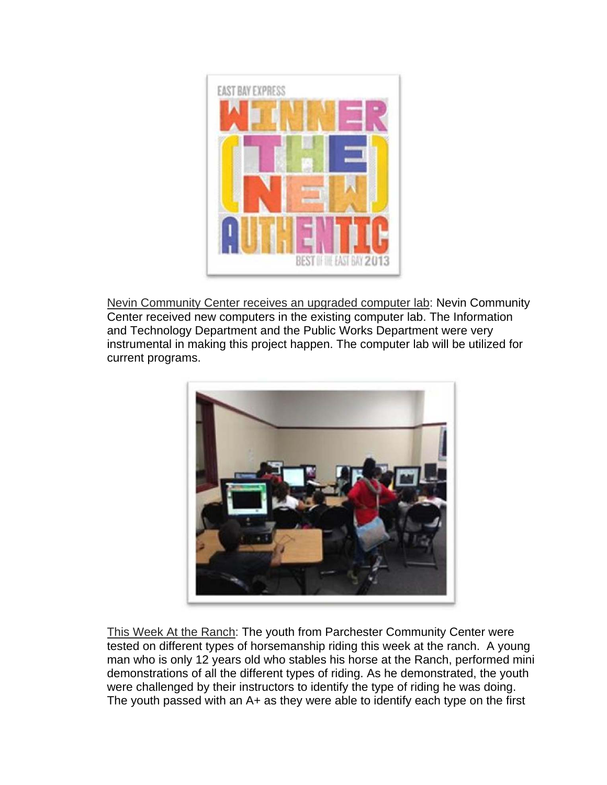

Nevin Community Center receives an upgraded computer lab: Nevin Community Center received new computers in the existing computer lab. The Information and Technology Department and the Public Works Department were very instrumental in making this project happen. The computer lab will be utilized for current programs.



This Week At the Ranch: The youth from Parchester Community Center were tested on different types of horsemanship riding this week at the ranch. A young man who is only 12 years old who stables his horse at the Ranch, performed mini demonstrations of all the different types of riding. As he demonstrated, the youth were challenged by their instructors to identify the type of riding he was doing. The youth passed with an A+ as they were able to identify each type on the first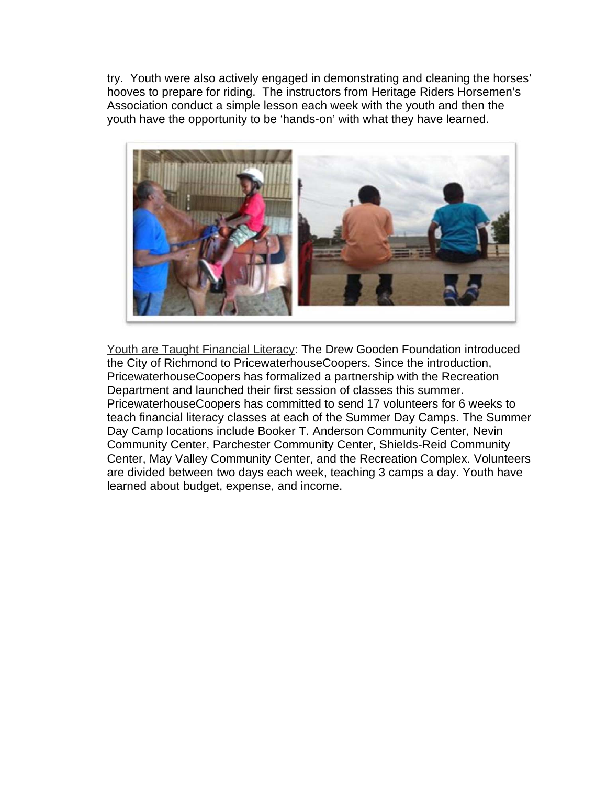try. Youth were also actively engaged in demonstrating and cleaning the horses' hooves to prepare for riding. The instructors from Heritage Riders Horsemen's Association conduct a simple lesson each week with the youth and then the youth have the opportunity to be 'hands-on' with what they have learned.



Youth are Taught Financial Literacy: The Drew Gooden Foundation introduced the City of Richmond to PricewaterhouseCoopers. Since the introduction, PricewaterhouseCoopers has formalized a partnership with the Recreation Department and launched their first session of classes this summer. PricewaterhouseCoopers has committed to send 17 volunteers for 6 weeks to teach financial literacy classes at each of the Summer Day Camps. The Summer Day Camp locations include Booker T. Anderson Community Center, Nevin Community Center, Parchester Community Center, Shields-Reid Community Center, May Valley Community Center, and the Recreation Complex. Volunteers are divided between two days each week, teaching 3 camps a day. Youth have learned about budget, expense, and income.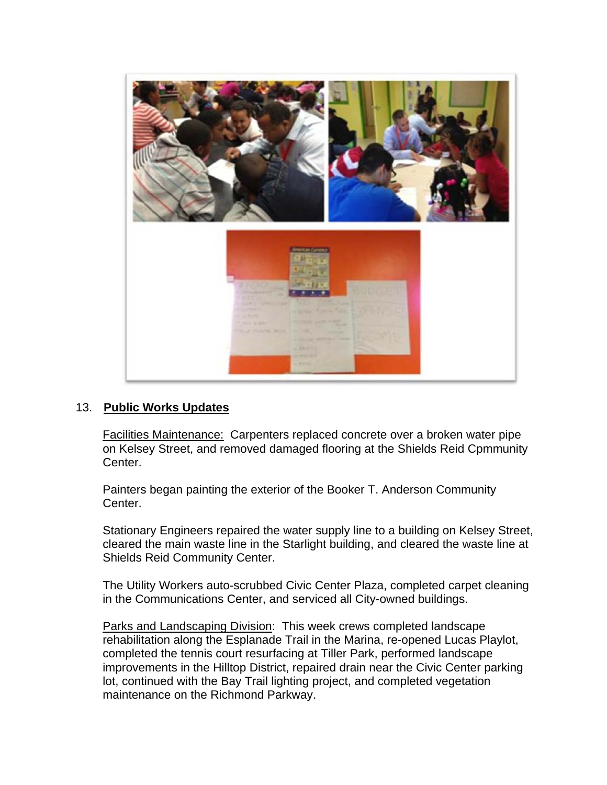

#### 13. **Public Works Updates**

Facilities Maintenance: Carpenters replaced concrete over a broken water pipe on Kelsey Street, and removed damaged flooring at the Shields Reid Cpmmunity Center.

Painters began painting the exterior of the Booker T. Anderson Community Center.

Stationary Engineers repaired the water supply line to a building on Kelsey Street, cleared the main waste line in the Starlight building, and cleared the waste line at Shields Reid Community Center.

The Utility Workers auto-scrubbed Civic Center Plaza, completed carpet cleaning in the Communications Center, and serviced all City-owned buildings.

Parks and Landscaping Division: This week crews completed landscape rehabilitation along the Esplanade Trail in the Marina, re-opened Lucas Playlot, completed the tennis court resurfacing at Tiller Park, performed landscape improvements in the Hilltop District, repaired drain near the Civic Center parking lot, continued with the Bay Trail lighting project, and completed vegetation maintenance on the Richmond Parkway.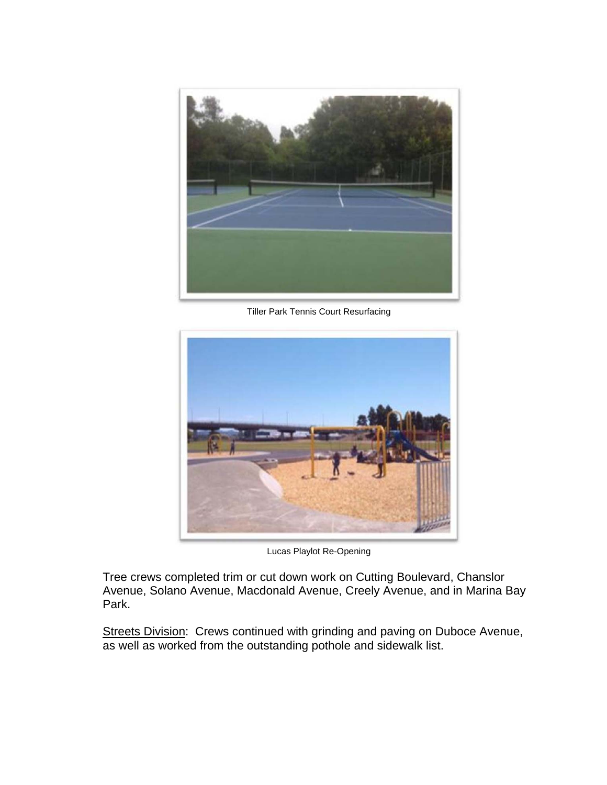

Tiller Park Tennis Court Resurfacing



Lucas Playlot Re-Opening

Tree crews completed trim or cut down work on Cutting Boulevard, Chanslor Avenue, Solano Avenue, Macdonald Avenue, Creely Avenue, and in Marina Bay Park.

Streets Division: Crews continued with grinding and paving on Duboce Avenue, as well as worked from the outstanding pothole and sidewalk list.